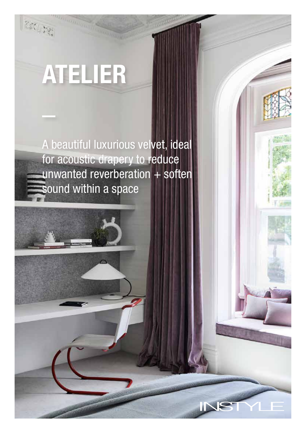欲漢

A beautiful luxurious velvet, ideal for acoustic drapery to reduce unwanted reverberation  $+$  soften sound within a space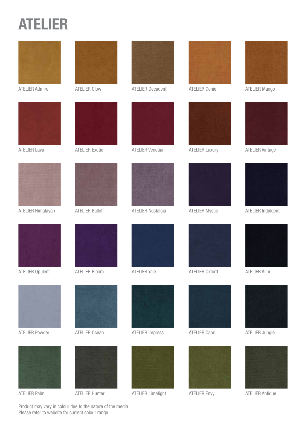







ATELIER Opulent ATELIER Bloom ATELIER Yale ATELIER Oxford ATELIER Alibi



ATELIER Powder **ATELIER Ocean** ATELIER Impress ATELIER Capri ATELIER Jungle

















ATELIER Palm ATELIER Hunter ATELIER Limelight ATELIER Envy ATELIER Antique



ATELIER Admire **ATELIER Glow** ATELIER Decadent ATELIER Genie ATELIER Mango







ATELIER Lava **ATELIER Exotic** ATELIER Venetian ATELIER Luxury ATELIER Vintage



ATELIER Himalayan ATELIER Ballet ATELIER Nostalgia ATELIER Mystic ATELIER Indulgent









Product may vary in colour due to the nature of the media Please refer to website for current colour range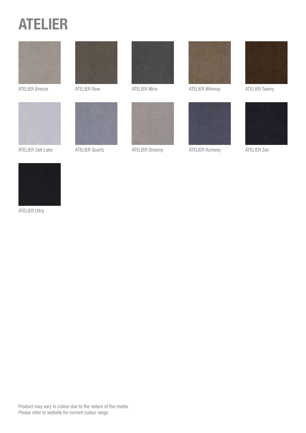



ATELIER Salt Lake ATELIER Quartz ATELIER Dreamy ATELIER Runway ATELIER Zen











ATELIER Breeze **ATELIER Raw ATELIER Minx** ATELIER Minx ATELIER Whimsy ATELIER Tawny









ATELIER Ultra